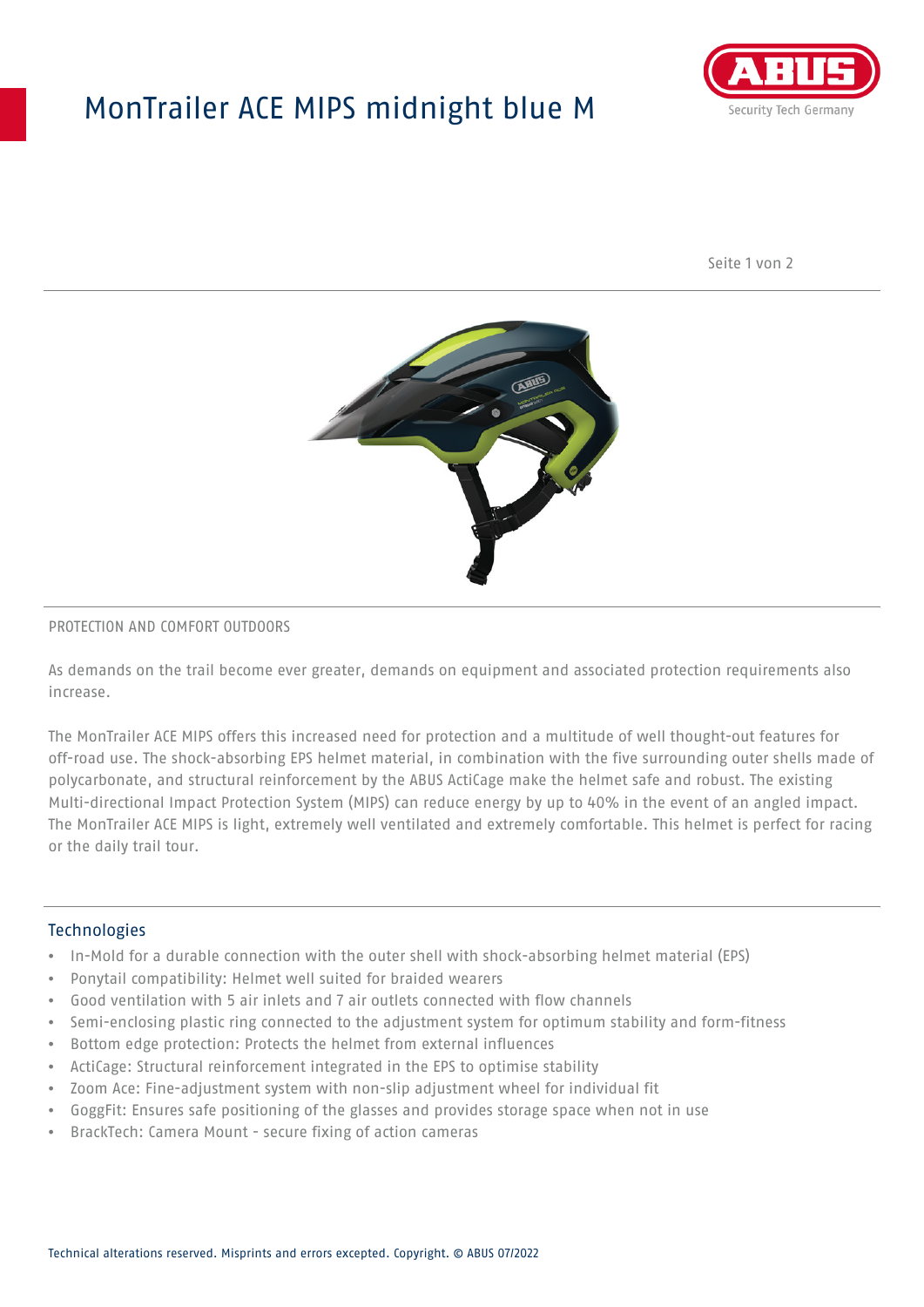## MonTrailer ACE MIPS midnight blue M



Seite 1 von 2



#### PROTECTION AND COMFORT OUTDOORS

As demands on the trail become ever greater, demands on equipment and associated protection requirements also increase.

The MonTrailer ACE MIPS offers this increased need for protection and a multitude of well thought-out features for off-road use. The shock-absorbing EPS helmet material, in combination with the five surrounding outer shells made of polycarbonate, and structural reinforcement by the ABUS ActiCage make the helmet safe and robust. The existing Multi-directional Impact Protection System (MIPS) can reduce energy by up to 40% in the event of an angled impact. The MonTrailer ACE MIPS is light, extremely well ventilated and extremely comfortable. This helmet is perfect for racing or the daily trail tour.

### **Technologies**

- In-Mold for a durable connection with the outer shell with shock-absorbing helmet material (EPS)
- Ponytail compatibility: Helmet well suited for braided wearers
- Good ventilation with 5 air inlets and 7 air outlets connected with flow channels
- Semi-enclosing plastic ring connected to the adjustment system for optimum stability and form-fitness
- Bottom edge protection: Protects the helmet from external influences
- ActiCage: Structural reinforcement integrated in the EPS to optimise stability
- Zoom Ace: Fine-adjustment system with non-slip adjustment wheel for individual fit
- GoggFit: Ensures safe positioning of the glasses and provides storage space when not in use
- BrackTech: Camera Mount secure fixing of action cameras